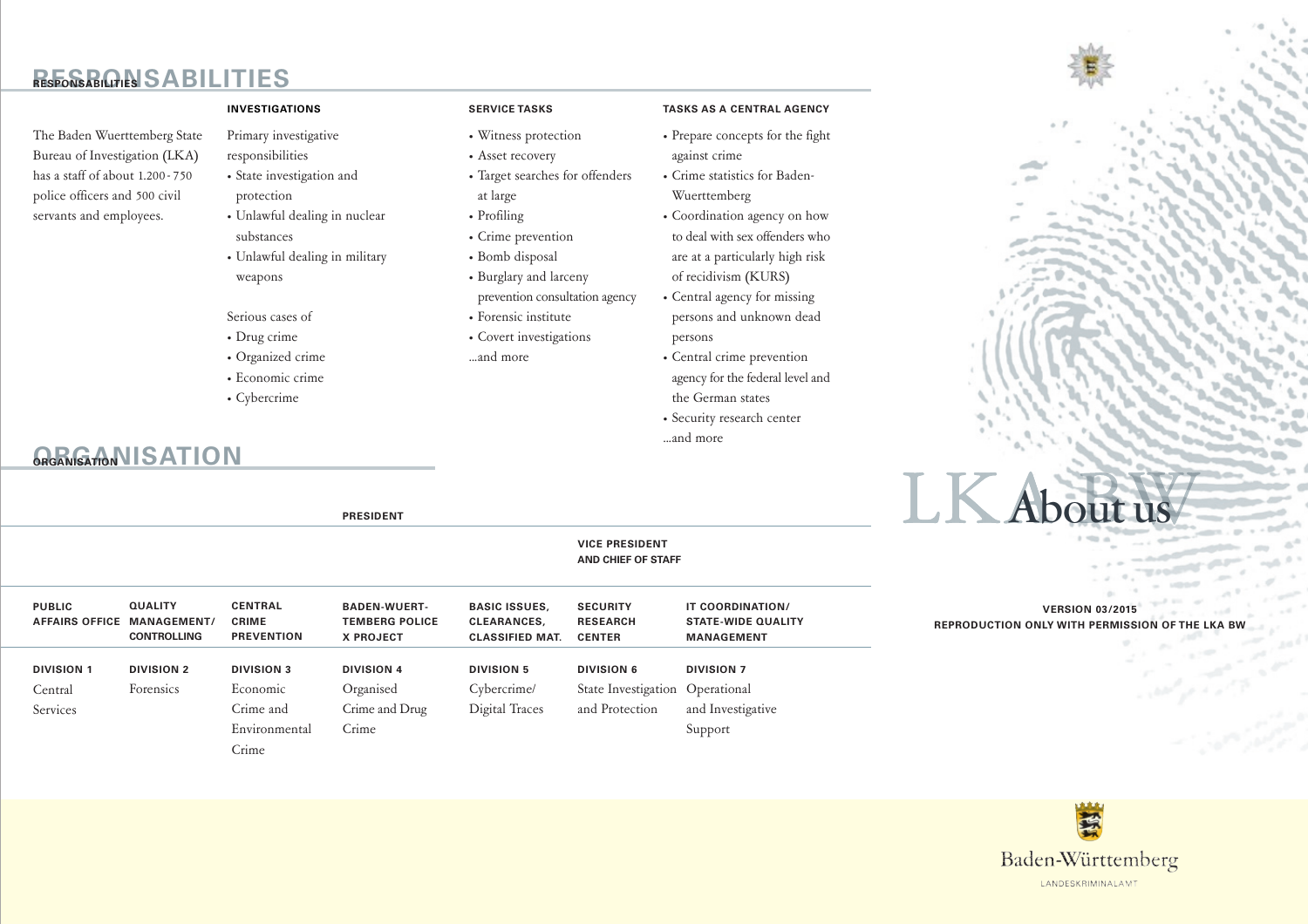# **RESPONS REGARDLES**

The Baden Wuerttemberg State Bureau of Investigation (LKA) has a staff of about 1.200-750 police officers and 500 civil servants and employees.

#### **INVESTIGATIONS**

Primary investigative responsibilities

- State investigation and protection
- · Unlawful dealing in nuclear substances
- Unlawful dealing in military weapons

**PRESIDENT** 

- Serious cases of
- Drug crime
- · Organized crime
- · Economic crime
- Cybercrime

# GRANGTON IS ATION

### **SERVICE TASKS**

- Witness protection
- Asset recovery
- Target searches for offenders at large
- Profiling
- Crime prevention
- · Bomb disposal
- Burglary and larceny prevention consultation agency
- Forensic institute
- Covert investigations ...and more
- **TASKS AS A CENTRAL AGENCY**
- Prepare concepts for the fight against crime
- Crime statistics for Baden-Wuerttemberg
- Coordination agency on how to deal with sex offenders who are at a particularly high risk of recidivism (KURS)
- Central agency for missing persons and unknown dead persons
- Central crime prevention agency for the federal level and the German states
- · Security research center ...and more

|                                        | <b>VICE PRESIDENT</b><br><b>AND CHIEF OF STAFF</b>        |                                                     |                                                                  |                                                                      |                                                     |                                                                    | the contract of the contract of<br>$\alpha$ , and $\alpha$<br>$\label{eq:3.1} \begin{array}{ll} \displaystyle \qquad \qquad \displaystyle \qquad \qquad \displaystyle \qquad \qquad \displaystyle \qquad \qquad \displaystyle \qquad \qquad \displaystyle \qquad \qquad \displaystyle \qquad \qquad \displaystyle \qquad \qquad \displaystyle \qquad \qquad \displaystyle \qquad \qquad \displaystyle \qquad \qquad \displaystyle \qquad \qquad \displaystyle \qquad \qquad \displaystyle \qquad \qquad \displaystyle \qquad \qquad \displaystyle \qquad \qquad \displaystyle \qquad \qquad \displaystyle \qquad \qquad \displaystyle \qquad \qquad \displaystyle \qquad \qquad \displaystyle \qquad \qquad \displaystyle \qquad \qquad \displaystyle \qquad$ |
|----------------------------------------|-----------------------------------------------------------|-----------------------------------------------------|------------------------------------------------------------------|----------------------------------------------------------------------|-----------------------------------------------------|--------------------------------------------------------------------|---------------------------------------------------------------------------------------------------------------------------------------------------------------------------------------------------------------------------------------------------------------------------------------------------------------------------------------------------------------------------------------------------------------------------------------------------------------------------------------------------------------------------------------------------------------------------------------------------------------------------------------------------------------------------------------------------------------------------------------------------------------|
| <b>PUBLIC</b><br><b>AFFAIRS OFFICE</b> | <b>QUALITY</b><br><b>MANAGEMENT</b><br><b>CONTROLLING</b> | <b>CENTRAL</b><br><b>CRIME</b><br><b>PREVENTION</b> | <b>BADEN-WUERT-</b><br><b>TEMBERG POLICE</b><br><b>X PROJECT</b> | <b>BASIC ISSUES,</b><br><b>CLEARANCES,</b><br><b>CLASSIFIED MAT.</b> | <b>SECURITY</b><br><b>RESEARCH</b><br><b>CENTER</b> | IT COORDINATION/<br><b>STATE-WIDE QUALITY</b><br><b>MANAGEMENT</b> | $\sim$<br><b>VERSION 03/2015</b><br>REPRODUCTION ONLY WITH PERMISSION OF THE LKA B                                                                                                                                                                                                                                                                                                                                                                                                                                                                                                                                                                                                                                                                            |
| <b>DIVISION 1</b>                      | <b>DIVISION 2</b>                                         | <b>DIVISION 3</b>                                   | <b>DIVISION 4</b>                                                | <b>DIVISION 5</b>                                                    | <b>DIVISION 6</b>                                   | <b>DIVISION 7</b>                                                  |                                                                                                                                                                                                                                                                                                                                                                                                                                                                                                                                                                                                                                                                                                                                                               |
| Central                                | Forensics                                                 | Economic                                            | Organised                                                        | Cybercrime/                                                          | State Investigation Operational                     |                                                                    | <b>CONTRACTOR</b>                                                                                                                                                                                                                                                                                                                                                                                                                                                                                                                                                                                                                                                                                                                                             |
| Services                               |                                                           | Crime and                                           | Crime and Drug                                                   | Digital Traces                                                       | and Protection                                      | and Investigative                                                  |                                                                                                                                                                                                                                                                                                                                                                                                                                                                                                                                                                                                                                                                                                                                                               |
|                                        |                                                           | Environmental                                       | Crime                                                            |                                                                      |                                                     | Support                                                            |                                                                                                                                                                                                                                                                                                                                                                                                                                                                                                                                                                                                                                                                                                                                                               |
|                                        |                                                           | Crime                                               |                                                                  |                                                                      |                                                     |                                                                    | المحارر                                                                                                                                                                                                                                                                                                                                                                                                                                                                                                                                                                                                                                                                                                                                                       |
|                                        |                                                           |                                                     |                                                                  |                                                                      |                                                     |                                                                    |                                                                                                                                                                                                                                                                                                                                                                                                                                                                                                                                                                                                                                                                                                                                                               |



LKA